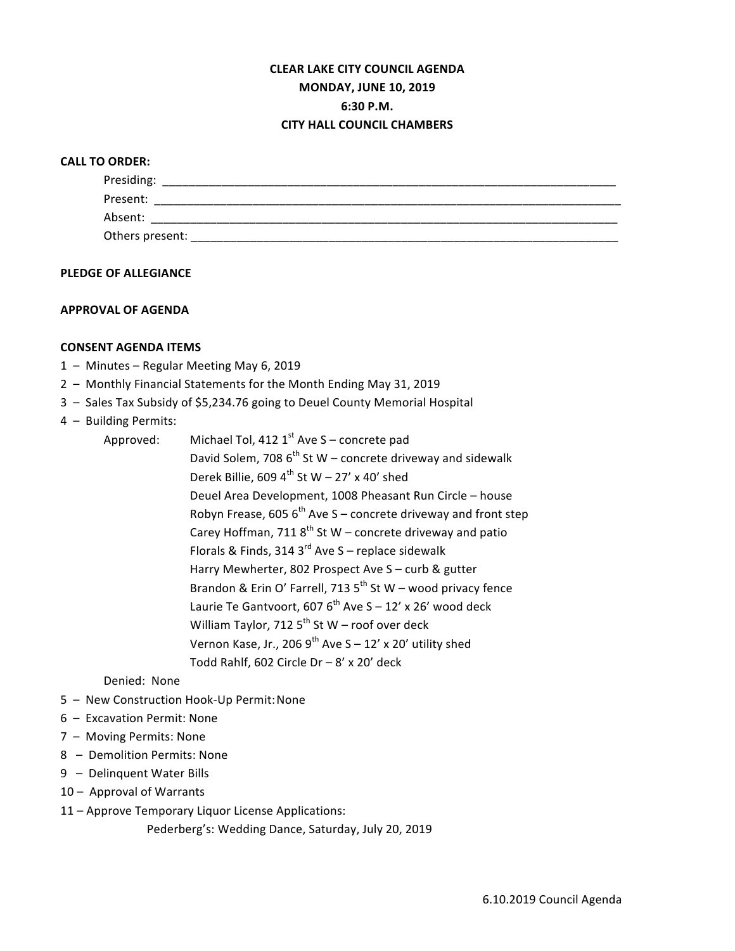# **CLEAR LAKE CITY COUNCIL AGENDA MONDAY, JUNE 10, 2019 6:30 P.M. CITY HALL COUNCIL CHAMBERS**

# **CALL TO ORDER:**

| Presiding:      |  |  |
|-----------------|--|--|
| Present:        |  |  |
| Absent:         |  |  |
| Others present: |  |  |

#### **PLEDGE OF ALLEGIANCE**

# **APPROVAL OF AGENDA**

# **CONSENT AGENDA ITEMS**

- 1 Minutes Regular Meeting May 6, 2019
- 2 Monthly Financial Statements for the Month Ending May 31, 2019
- 3 Sales Tax Subsidy of \$5,234.76 going to Deuel County Memorial Hospital
- 4 Building Permits:
	- Approved: Michael Tol, 412  $1<sup>st</sup>$  Ave S concrete pad David Solem, 708  $6<sup>th</sup>$  St W – concrete driveway and sidewalk Derek Billie, 609  $4^{\text{th}}$  St W – 27' x 40' shed Deuel Area Development, 1008 Pheasant Run Circle - house Robyn Frease, 605  $6^{th}$  Ave S – concrete driveway and front step Carey Hoffman, 711  $8<sup>th</sup>$  St W – concrete driveway and patio Florals & Finds, 314  $3^{\text{rd}}$  Ave S – replace sidewalk Harry Mewherter, 802 Prospect Ave S - curb & gutter Brandon & Erin O' Farrell, 713  $5^{th}$  St W – wood privacy fence Laurie Te Gantvoort, 607  $6^{th}$  Ave S – 12' x 26' wood deck William Taylor, 712  $5^{th}$  St W – roof over deck Vernon Kase, Jr., 206 9<sup>th</sup> Ave  $S - 12'$  x 20' utility shed Todd Rahlf, 602 Circle  $Dr - 8'$  x 20' deck

#### Denied: None

- 5 New Construction Hook-Up Permit: None
- 6 Excavation Permit: None
- 7 Moving Permits: None
- 8 Demolition Permits: None
- 9 Delinquent Water Bills
- 10 Approval of Warrants
- 11 Approve Temporary Liquor License Applications:
	- Pederberg's: Wedding Dance, Saturday, July 20, 2019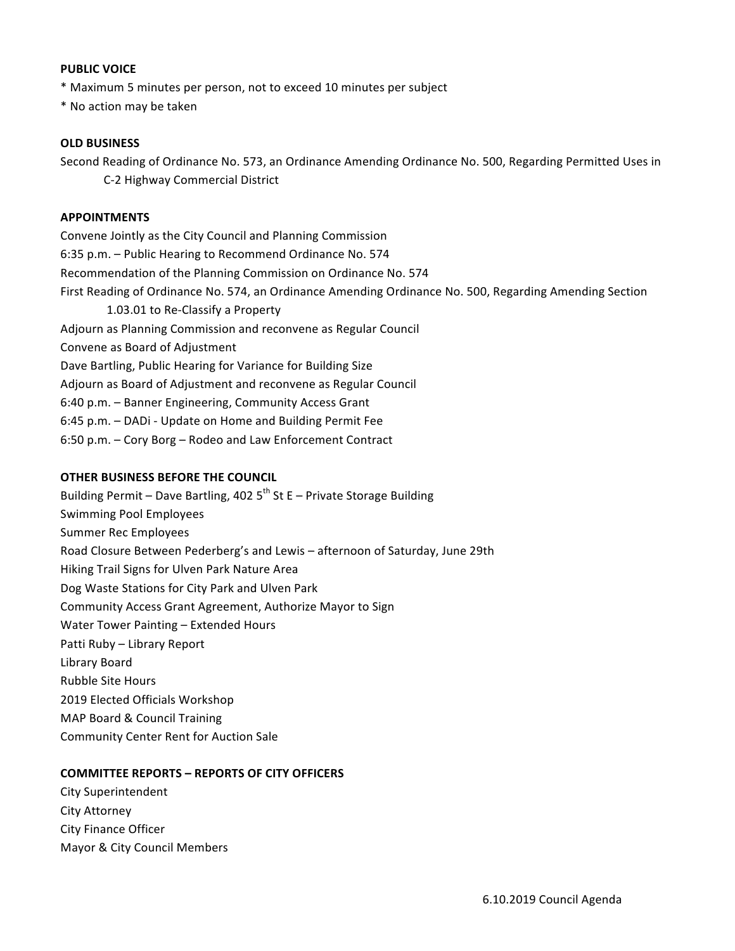#### **PUBLIC VOICE**

\* Maximum 5 minutes per person, not to exceed 10 minutes per subject

\* No action may be taken

#### **OLD BUSINESS**

Second Reading of Ordinance No. 573, an Ordinance Amending Ordinance No. 500, Regarding Permitted Uses in C-2 Highway Commercial District

# **APPOINTMENTS**

Convene Jointly as the City Council and Planning Commission 6:35 p.m. - Public Hearing to Recommend Ordinance No. 574 Recommendation of the Planning Commission on Ordinance No. 574 First Reading of Ordinance No. 574, an Ordinance Amending Ordinance No. 500, Regarding Amending Section 1.03.01 to Re-Classify a Property Adjourn as Planning Commission and reconvene as Regular Council Convene as Board of Adjustment Dave Bartling, Public Hearing for Variance for Building Size Adjourn as Board of Adjustment and reconvene as Regular Council 6:40 p.m. - Banner Engineering, Community Access Grant 6:45 p.m. - DADi - Update on Home and Building Permit Fee 6:50 p.m. – Cory Borg – Rodeo and Law Enforcement Contract

#### **OTHER BUSINESS BEFORE THE COUNCIL**

Building Permit - Dave Bartling, 402  $5^{th}$  St E - Private Storage Building Swimming Pool Employees Summer Rec Employees Road Closure Between Pederberg's and Lewis – afternoon of Saturday, June 29th Hiking Trail Signs for Ulven Park Nature Area Dog Waste Stations for City Park and Ulven Park Community Access Grant Agreement, Authorize Mayor to Sign Water Tower Painting - Extended Hours Patti Ruby - Library Report Library Board Rubble Site Hours 2019 Elected Officials Workshop MAP Board & Council Training Community Center Rent for Auction Sale

# **COMMITTEE REPORTS - REPORTS OF CITY OFFICERS**

City Superintendent City Attorney City Finance Officer Mayor & City Council Members